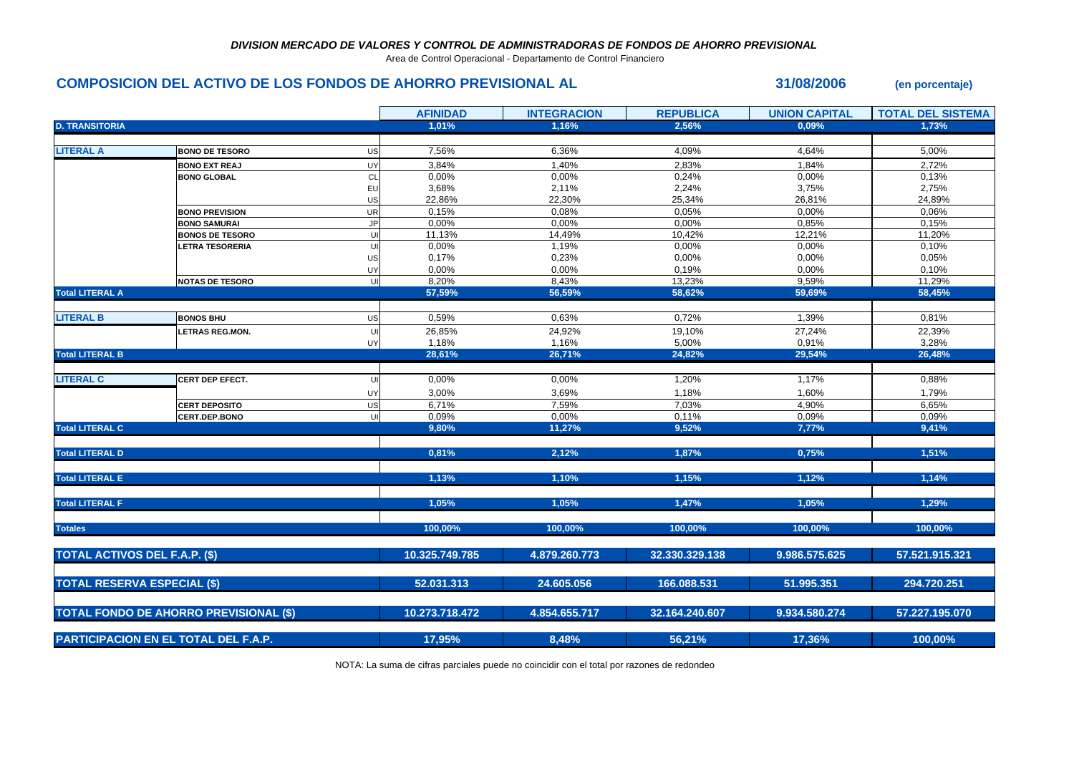## *DIVISION MERCADO DE VALORES Y CONTROL DE ADMINISTRADORAS DE FONDOS DE AHORRO PREVISIONAL*

Area de Control Operacional - Departamento de Control Financiero

## **COMPOSICION DEL ACTIVO DE LOS FONDOS DE AHORRO PREVISIONAL AL 31/08/2006 (en porcentaje)**

**AFINIDAD INTEGRACION REPUBLICA UNION CAPITAL TOTAL DEL SISTEMA D. TRANSITORIA 1,01% 1,16% 2,56% 0,09% 1,73% LITERAL A BONO DE TESORO** US 7,56% 6,36% 4,09% 4,64% 5,00% **BONO EXT REAJ** UY 3,84% 1,40% 2,83% 1,84% 2,72% **BONO GLOBAL** CL 0,00% 0,00% 0,24% 0,00% 0,13% EU 3,68% 2,11% 2,24% 3,75% 2,75% US 22,86% 22,30% 25,34% 26,81% 24,89% **BONO PREVISION** UR 0,15% 0,08% 0,05% 0,00% 0,06% **BONO SAMURAI** JP 0,00% 0,00% 0,00% 0,85% 0,15% **BONOS DE TESORO** UI 11,13% 14,49% 10,42% 12,21% 11,20% **LETRA TESORERIA** UI 0,00% 1,19% 0,00% 0,00% 0,10% US 0,17% 0,23% 0,00% 0,00% 0,05% UY 0,00% 0,00% 0,19% 0,00% 0,10% **NOTAS DE TESORO** UI 8,20% 8,43% 13,23% 9,59% 11,29% **Total LITERAL A 57,59% 56,59% 58,62% 59,69% 58,45% LITERAL B BONOS BHU** US 0,59% 0,63% 0,72% 1,39% 0,81% **LETRAS REG.MON.** UI 26,85% 24,92% 19,10% 27,24% 22,39% UY 1,18% 1,16% 5,00% 0,91% 3,28% **Total LITERAL B 28,61% 26,71% 24,82% 29,54% 26,48% LITERAL C CERT DEP EFECT.** UI 0,00% 0,00% 1,20% 1,17% 0,88% UY 3,00% 3,69% 1,18% 1,60% 1,79% **CERT DEPOSITO** US 6,71% 7,59% 7,03% 4,90% 6,65% **CERT.DEP.BONO** UI 0,09% 0,00% 0,11% 0,09% 0,09% **Total LITERAL C 9,80% 11,27% 9,52% 7,77% 9,41% Total LITERAL D 0,81% 2,12% 1,87% 0,75% 1,51% Total LITERAL E 1,13% 1,10% 1,15% 1,12% 1,14% Total LITERAL F 1,05% 1,05% 1,47% 1,05% 1,29% Totales 100,00% 100,00% 100,00% 100,00% 100,00% 10.325.749.785 4.879.260.773 32.330.329.138 9.986.575.625 57.521.915.321 52.031.313 24.605.056 166.088.531 51.995.351 294.720.251 10.273.718.472 4.854.655.717 32.164.240.607 9.934.580.274 57.227.195.070 17,95% 8,48% 56,21% 17,36% 100,00% TOTAL ACTIVOS DEL F.A.P. (\$) TOTAL RESERVA ESPECIAL (\$) TOTAL FONDO DE AHORRO PREVISIONAL (\$) PARTICIPACION EN EL TOTAL DEL F.A.P.**

NOTA: La suma de cifras parciales puede no coincidir con el total por razones de redondeo